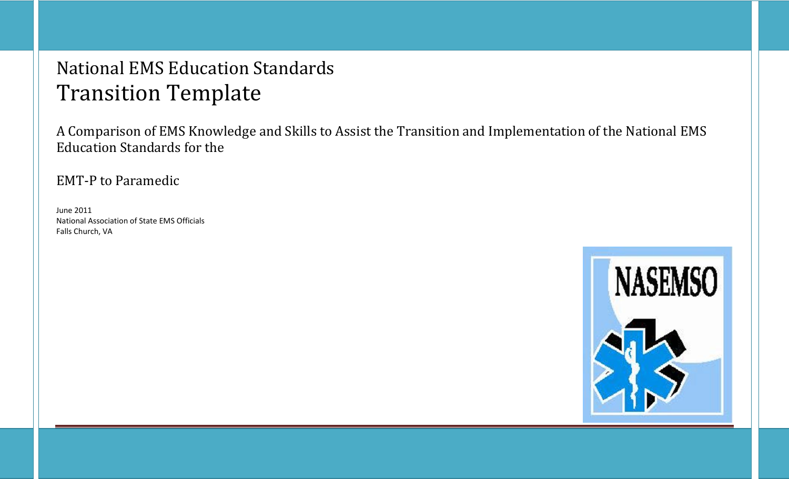## National EMS Education Standards Transition Template

A Comparison of EMS Knowledge and Skills to Assist the Transition and Implementation of the National EMS Education Standards for the

EMT-P to Paramedic

June 2011 National Association of State EMS Officials Falls Church, VA

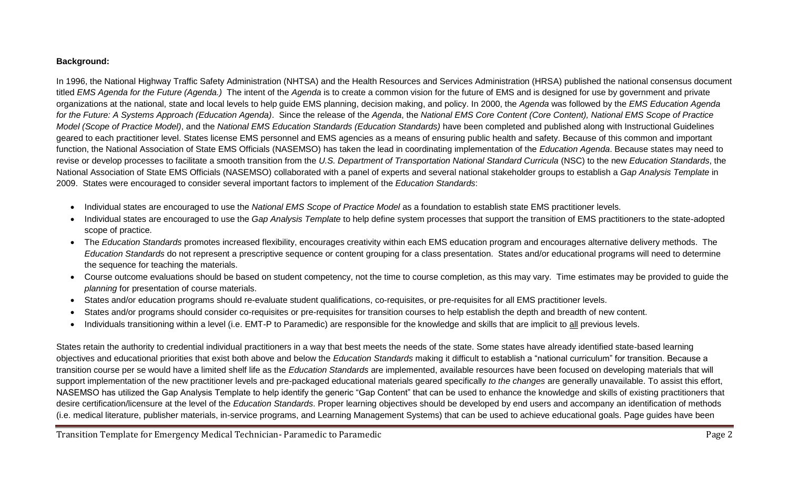## **Background:**

In 1996, the National Highway Traffic Safety Administration (NHTSA) and the Health Resources and Services Administration (HRSA) published the national consensus document titled *EMS Agenda for the Future (Agenda.)* The intent of the *Agenda* is to create a common vision for the future of EMS and is designed for use by government and private organizations at the national, state and local levels to help guide EMS planning, decision making, and policy. In 2000, the *Agenda* was followed by the *EMS Education Agenda for the Future: A Systems Approach (Education Agenda)*. Since the release of the *Agenda*, the *National EMS Core Content (Core Content), National EMS Scope of Practice Model (Scope of Practice Model)*, and the *National EMS Education Standards (Education Standards)* have been completed and published along with Instructional Guidelines geared to each practitioner level. States license EMS personnel and EMS agencies as a means of ensuring public health and safety. Because of this common and important function, the National Association of State EMS Officials (NASEMSO) has taken the lead in coordinating implementation of the *Education Agenda*. Because states may need to revise or develop processes to facilitate a smooth transition from the *U.S. Department of Transportation National Standard Curricula* (NSC) to the new *Education Standards*, the National Association of State EMS Officials (NASEMSO) collaborated with a panel of experts and several national stakeholder groups to establish a *Gap Analysis Template* in 2009. States were encouraged to consider several important factors to implement of the *Education Standards*:

- Individual states are encouraged to use the *National EMS Scope of Practice Model* as a foundation to establish state EMS practitioner levels.
- Individual states are encouraged to use the *Gap Analysis Template* to help define system processes that support the transition of EMS practitioners to the state-adopted scope of practice.
- The *Education Standards* promotes increased flexibility, encourages creativity within each EMS education program and encourages alternative delivery methods. The *Education Standards* do not represent a prescriptive sequence or content grouping for a class presentation. States and/or educational programs will need to determine the sequence for teaching the materials.
- Course outcome evaluations should be based on student competency, not the time to course completion, as this may vary. Time estimates may be provided to guide the *planning* for presentation of course materials.
- States and/or education programs should re-evaluate student qualifications, co-requisites, or pre-requisites for all EMS practitioner levels.
- States and/or programs should consider co-requisites or pre-requisites for transition courses to help establish the depth and breadth of new content.
- Individuals transitioning within a level (i.e. EMT-P to Paramedic) are responsible for the knowledge and skills that are implicit to all previous levels.

States retain the authority to credential individual practitioners in a way that best meets the needs of the state. Some states have already identified state-based learning objectives and educational priorities that exist both above and below the *Education Standards* making it difficult to establish a "national curriculum" for transition. Because a transition course per se would have a limited shelf life as the *Education Standards* are implemented, available resources have been focused on developing materials that will support implementation of the new practitioner levels and pre-packaged educational materials geared specifically *to the changes* are generally unavailable. To assist this effort, NASEMSO has utilized the Gap Analysis Template to help identify the generic "Gap Content" that can be used to enhance the knowledge and skills of existing practitioners that desire certification/licensure at the level of the *Education Standards*. Proper learning objectives should be developed by end users and accompany an identification of methods (i.e. medical literature, publisher materials, in-service programs, and Learning Management Systems) that can be used to achieve educational goals. Page guides have been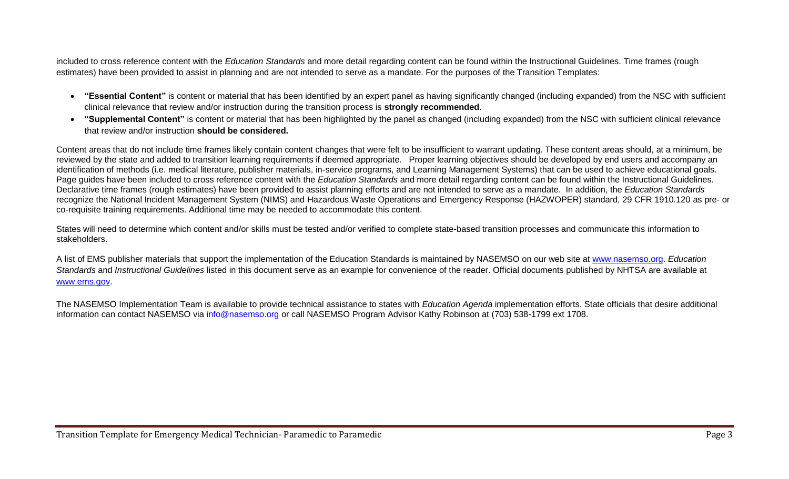included to cross reference content with the *Education Standards* and more detail regarding content can be found within the Instructional Guidelines. Time frames (rough estimates) have been provided to assist in planning and are not intended to serve as a mandate. For the purposes of the Transition Templates:

- **"Essential Content"** is content or material that has been identified by an expert panel as having significantly changed (including expanded) from the NSC with sufficient clinical relevance that review and/or instruction during the transition process is **strongly recommended**.
- **"Supplemental Content"** is content or material that has been highlighted by the panel as changed (including expanded) from the NSC with sufficient clinical relevance that review and/or instruction **should be considered.**

Content areas that do not include time frames likely contain content changes that were felt to be insufficient to warrant updating. These content areas should, at a minimum, be reviewed by the state and added to transition learning requirements if deemed appropriate. Proper learning objectives should be developed by end users and accompany an identification of methods (i.e. medical literature, publisher materials, in-service programs, and Learning Management Systems) that can be used to achieve educational goals. Page guides have been included to cross reference content with the *Education Standards* and more detail regarding content can be found within the Instructional Guidelines. Declarative time frames (rough estimates) have been provided to assist planning efforts and are not intended to serve as a mandate. In addition, the *Education Standards* recognize the National Incident Management System (NIMS) and Hazardous Waste Operations and Emergency Response (HAZWOPER) standard, 29 CFR 1910.120 as pre- or co-requisite training requirements. Additional time may be needed to accommodate this content.

States will need to determine which content and/or skills must be tested and/or verified to complete state-based transition processes and communicate this information to stakeholders.

A list of EMS publisher materials that support the implementation of the Education Standards is maintained by NASEMSO on our web site at [www.nasemso.org.](http://www.nasemso.org/) *Education Standards* and *Instructional Guidelines* listed in this document serve as an example for convenience of the reader. Official documents published by NHTSA are available at [www.ems.gov.](http://www.ems.gov/)

The NASEMSO Implementation Team is available to provide technical assistance to states with *Education Agenda* implementation efforts. State officials that desire additional information can contact NASEMSO via info@nasemso.org or call NASEMSO Program Advisor Kathy Robinson at (703) 538-1799 ext 1708.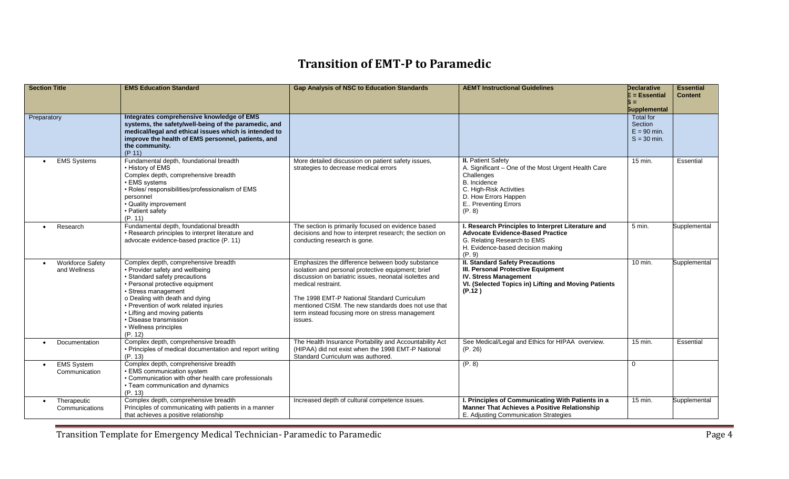## **Transition of EMT-P to Paramedic**

| <b>Section Title</b>                            | <b>EMS Education Standard</b>                                                                                                                                                                                                                                                                                                                | <b>Gap Analysis of NSC to Education Standards</b>                                                                                                                                                                                                                                                                                                          | <b>AEMT Instructional Guidelines</b>                                                                                                                                                               | Declarative<br>$E = E$ ssential<br>S = 1<br><b>Supplemental</b> | <b>Essential</b><br><b>Content</b> |
|-------------------------------------------------|----------------------------------------------------------------------------------------------------------------------------------------------------------------------------------------------------------------------------------------------------------------------------------------------------------------------------------------------|------------------------------------------------------------------------------------------------------------------------------------------------------------------------------------------------------------------------------------------------------------------------------------------------------------------------------------------------------------|----------------------------------------------------------------------------------------------------------------------------------------------------------------------------------------------------|-----------------------------------------------------------------|------------------------------------|
| Preparatory                                     | Integrates comprehensive knowledge of EMS<br>systems, the safety/well-being of the paramedic, and<br>medical/legal and ethical issues which is intended to<br>improve the health of EMS personnel, patients, and<br>the community.<br>(P 11)                                                                                                 |                                                                                                                                                                                                                                                                                                                                                            |                                                                                                                                                                                                    | <b>Total for</b><br>Section<br>$E = 90$ min.<br>$S = 30$ min.   |                                    |
| <b>EMS Systems</b><br>$\bullet$                 | Fundamental depth, foundational breadth<br>• History of EMS<br>Complex depth, comprehensive breadth<br>• EMS systems<br>. Roles/ responsibilities/professionalism of EMS<br>personnel<br>• Quality improvement<br>• Patient safety<br>(P. 11)                                                                                                | More detailed discussion on patient safety issues,<br>strategies to decrease medical errors                                                                                                                                                                                                                                                                | <b>II.</b> Patient Safety<br>A. Significant - One of the Most Urgent Health Care<br>Challenges<br>B. Incidence<br>C. High-Risk Activities<br>D. How Errors Happen<br>E Preventing Errors<br>(P. 8) | 15 min.                                                         | Essential                          |
| Research                                        | Fundamental depth, foundational breadth<br>• Research principles to interpret literature and<br>advocate evidence-based practice (P. 11)                                                                                                                                                                                                     | The section is primarily focused on evidence based<br>decisions and how to interpret research; the section on<br>conducting research is gone.                                                                                                                                                                                                              | I. Research Principles to Interpret Literature and<br><b>Advocate Evidence-Based Practice</b><br>G. Relating Research to EMS<br>H. Evidence-based decision making<br>(P. 9)                        | 5 min.                                                          | Supplemental                       |
| <b>Workforce Safety</b><br>and Wellness         | Complex depth, comprehensive breadth<br>• Provider safety and wellbeing<br>• Standard safety precautions<br>• Personal protective equipment<br>• Stress management<br>o Dealing with death and dying<br>• Prevention of work related injuries<br>• Lifting and moving patients<br>· Disease transmission<br>• Wellness principles<br>(P. 12) | Emphasizes the difference between body substance<br>isolation and personal protective equipment; brief<br>discussion on bariatric issues, neonatal isolettes and<br>medical restraint.<br>The 1998 EMT-P National Standard Curriculum<br>mentioned CISM. The new standards does not use that<br>term instead focusing more on stress management<br>issues. | <b>II. Standard Safety Precautions</b><br><b>III. Personal Protective Equipment</b><br><b>IV. Stress Management</b><br>VI. (Selected Topics in) Lifting and Moving Patients<br>(P.12)              | $10 \text{ min.}$                                               | Supplemental                       |
| Documentation<br>$\bullet$                      | Complex depth, comprehensive breadth<br>• Principles of medical documentation and report writing<br>(P. 13)                                                                                                                                                                                                                                  | The Health Insurance Portability and Accountability Act<br>(HIPAA) did not exist when the 1998 EMT-P National<br>Standard Curriculum was authored.                                                                                                                                                                                                         | See Medical/Legal and Ethics for HIPAA overview.<br>(P. 26)                                                                                                                                        | 15 min.                                                         | Essential                          |
| <b>EMS System</b><br>$\bullet$<br>Communication | Complex depth, comprehensive breadth<br>• EMS communication system<br>• Communication with other health care professionals<br>• Team communication and dynamics<br>(P. 13)                                                                                                                                                                   |                                                                                                                                                                                                                                                                                                                                                            | (P. 8)                                                                                                                                                                                             | $\Omega$                                                        |                                    |
| Therapeutic<br>$\bullet$<br>Communications      | Complex depth, comprehensive breadth<br>Principles of communicating with patients in a manner<br>that achieves a positive relationship                                                                                                                                                                                                       | Increased depth of cultural competence issues.                                                                                                                                                                                                                                                                                                             | I. Principles of Communicating With Patients in a<br><b>Manner That Achieves a Positive Relationship</b><br>E. Adjusting Communication Strategies                                                  | 15 min.                                                         | Supplemental                       |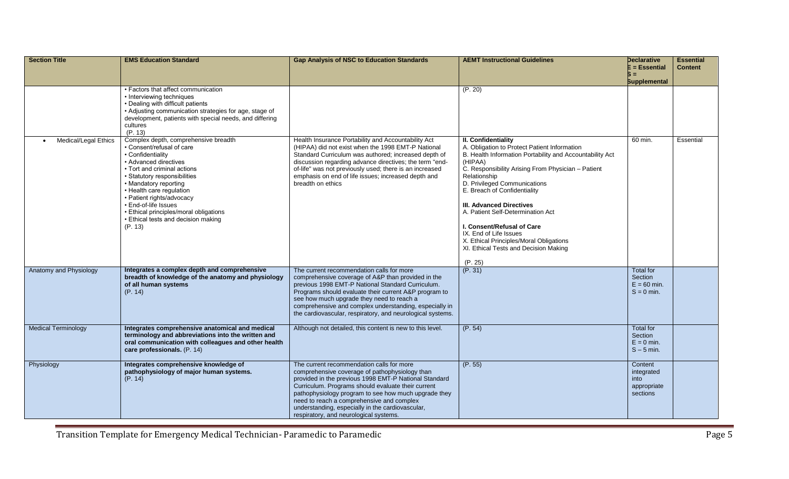| <b>Section Title</b>       | <b>EMS Education Standard</b>                                                                                                                                                                                                                                                                                                                                                        | <b>Gap Analysis of NSC to Education Standards</b>                                                                                                                                                                                                                                                                                                                                                             | <b>AEMT Instructional Guidelines</b>                                                                                                                                                                                                                                                                                                                                                                                                                                                                     | Declarative<br>E = Essential<br>$s =$<br><b>Supplemental</b> | <b>Essential</b><br><b>Content</b> |
|----------------------------|--------------------------------------------------------------------------------------------------------------------------------------------------------------------------------------------------------------------------------------------------------------------------------------------------------------------------------------------------------------------------------------|---------------------------------------------------------------------------------------------------------------------------------------------------------------------------------------------------------------------------------------------------------------------------------------------------------------------------------------------------------------------------------------------------------------|----------------------------------------------------------------------------------------------------------------------------------------------------------------------------------------------------------------------------------------------------------------------------------------------------------------------------------------------------------------------------------------------------------------------------------------------------------------------------------------------------------|--------------------------------------------------------------|------------------------------------|
|                            | • Factors that affect communication<br>• Interviewing techniques<br>• Dealing with difficult patients<br>• Adjusting communication strategies for age, stage of<br>development, patients with special needs, and differing<br>cultures<br>(P. 13)                                                                                                                                    |                                                                                                                                                                                                                                                                                                                                                                                                               | (P. 20)                                                                                                                                                                                                                                                                                                                                                                                                                                                                                                  |                                                              |                                    |
| Medical/Legal Ethics       | Complex depth, comprehensive breadth<br>• Consent/refusal of care<br>• Confidentiality<br>• Advanced directives<br>• Tort and criminal actions<br>• Statutory responsibilities<br>• Mandatory reporting<br>• Health care regulation<br>· Patient rights/advocacy<br>• End-of-life Issues<br>• Ethical principles/moral obligations<br>• Ethical tests and decision making<br>(P. 13) | Health Insurance Portability and Accountability Act<br>(HIPAA) did not exist when the 1998 EMT-P National<br>Standard Curriculum was authored; increased depth of<br>discussion regarding advance directives; the term "end-<br>of-life" was not previously used; there is an increased<br>emphasis on end of life issues; increased depth and<br>breadth on ethics                                           | II. Confidentiality<br>A. Obligation to Protect Patient Information<br>B. Health Information Portability and Accountability Act<br>(HIPAA)<br>C. Responsibility Arising From Physician - Patient<br>Relationship<br>D. Privileged Communications<br>E. Breach of Confidentiality<br>III. Advanced Directives<br>A. Patient Self-Determination Act<br>I. Consent/Refusal of Care<br>IX. End of Life Issues<br>X. Ethical Principles/Moral Obligations<br>XI. Ethical Tests and Decision Making<br>(P. 25) | 60 min.                                                      | Essential                          |
| Anatomy and Physiology     | Integrates a complex depth and comprehensive<br>breadth of knowledge of the anatomy and physiology<br>of all human systems<br>(P. 14)                                                                                                                                                                                                                                                | The current recommendation calls for more<br>comprehensive coverage of A&P than provided in the<br>previous 1998 EMT-P National Standard Curriculum.<br>Programs should evaluate their current A&P program to<br>see how much upgrade they need to reach a<br>comprehensive and complex understanding, especially in<br>the cardiovascular, respiratory, and neurological systems.                            | (P. 31)                                                                                                                                                                                                                                                                                                                                                                                                                                                                                                  | <b>Total for</b><br>Section<br>$E = 60$ min.<br>$S = 0$ min. |                                    |
| <b>Medical Terminology</b> | Integrates comprehensive anatomical and medical<br>terminology and abbreviations into the written and<br>oral communication with colleagues and other health<br>care professionals. (P. 14)                                                                                                                                                                                          | Although not detailed, this content is new to this level.                                                                                                                                                                                                                                                                                                                                                     | (P. 54)                                                                                                                                                                                                                                                                                                                                                                                                                                                                                                  | Total for<br>Section<br>$E = 0$ min.<br>$S - 5$ min.         |                                    |
| Physiology                 | Integrates comprehensive knowledge of<br>pathophysiology of major human systems.<br>(P. 14)                                                                                                                                                                                                                                                                                          | The current recommendation calls for more<br>comprehensive coverage of pathophysiology than<br>provided in the previous 1998 EMT-P National Standard<br>Curriculum. Programs should evaluate their current<br>pathophysiology program to see how much upgrade they<br>need to reach a comprehensive and complex<br>understanding, especially in the cardiovascular,<br>respiratory, and neurological systems. | (P. 55)                                                                                                                                                                                                                                                                                                                                                                                                                                                                                                  | Content<br>integrated<br>into<br>appropriate<br>sections     |                                    |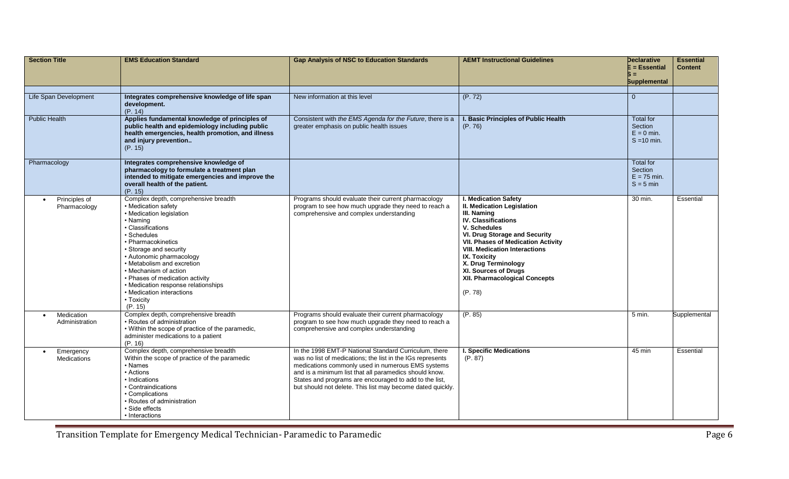| <b>Section Title</b>                         | <b>EMS Education Standard</b>                                                                                                                                                                                                                                                                                                                                                                            | <b>Gap Analysis of NSC to Education Standards</b>                                                                                                                                                                                                                                                                                                          | <b>AEMT Instructional Guidelines</b>                                                                                                                                                                                                                                                                                                                           | <b>Declarative</b><br>$E = E$ ssential<br>$S =$<br><b>Supplemental</b> | <b>Essential</b><br><b>Content</b> |
|----------------------------------------------|----------------------------------------------------------------------------------------------------------------------------------------------------------------------------------------------------------------------------------------------------------------------------------------------------------------------------------------------------------------------------------------------------------|------------------------------------------------------------------------------------------------------------------------------------------------------------------------------------------------------------------------------------------------------------------------------------------------------------------------------------------------------------|----------------------------------------------------------------------------------------------------------------------------------------------------------------------------------------------------------------------------------------------------------------------------------------------------------------------------------------------------------------|------------------------------------------------------------------------|------------------------------------|
| Life Span Development                        | Integrates comprehensive knowledge of life span<br>development.<br>(P. 14)                                                                                                                                                                                                                                                                                                                               | New information at this level                                                                                                                                                                                                                                                                                                                              | (P. 72)                                                                                                                                                                                                                                                                                                                                                        | $\overline{0}$                                                         |                                    |
| <b>Public Health</b>                         | Applies fundamental knowledge of principles of<br>public health and epidemiology including public<br>health emergencies, health promotion, and illness<br>and injury prevention<br>(P. 15)                                                                                                                                                                                                               | Consistent with the EMS Agenda for the Future, there is a<br>greater emphasis on public health issues                                                                                                                                                                                                                                                      | I. Basic Principles of Public Health<br>(P. 76)                                                                                                                                                                                                                                                                                                                | <b>Total for</b><br>Section<br>$E = 0$ min.<br>$S = 10$ min.           |                                    |
| Pharmacology                                 | Integrates comprehensive knowledge of<br>pharmacology to formulate a treatment plan<br>intended to mitigate emergencies and improve the<br>overall health of the patient.<br>(P. 15)                                                                                                                                                                                                                     |                                                                                                                                                                                                                                                                                                                                                            |                                                                                                                                                                                                                                                                                                                                                                | <b>Total for</b><br>Section<br>$E = 75$ min.<br>$S = 5$ min            |                                    |
| Principles of<br>$\bullet$<br>Pharmacology   | Complex depth, comprehensive breadth<br>• Medication safety<br>• Medication legislation<br>• Naming<br>Classifications<br>· Schedules<br>• Pharmacokinetics<br>• Storage and security<br>• Autonomic pharmacology<br>• Metabolism and excretion<br>• Mechanism of action<br>• Phases of medication activity<br>• Medication response relationships<br>• Medication interactions<br>• Toxicity<br>(P. 15) | Programs should evaluate their current pharmacology<br>program to see how much upgrade they need to reach a<br>comprehensive and complex understanding                                                                                                                                                                                                     | <b>I. Medication Safety</b><br><b>II. Medication Legislation</b><br>III. Naming<br><b>IV. Classifications</b><br>V. Schedules<br>VI. Drug Storage and Security<br><b>VII. Phases of Medication Activity</b><br><b>VIII. Medication Interactions</b><br>IX. Toxicity<br>X. Drug Terminology<br>XI. Sources of Drugs<br>XII. Pharmacological Concepts<br>(P. 78) | 30 min.                                                                | Essential                          |
| Medication<br>Administration                 | Complex depth, comprehensive breadth<br>· Routes of administration<br>• Within the scope of practice of the paramedic,<br>administer medications to a patient<br>(P. 16)                                                                                                                                                                                                                                 | Programs should evaluate their current pharmacology<br>program to see how much upgrade they need to reach a<br>comprehensive and complex understanding                                                                                                                                                                                                     | (P. 85)                                                                                                                                                                                                                                                                                                                                                        | 5 min.                                                                 | Supplemental                       |
| Emergency<br>$\bullet$<br><b>Medications</b> | Complex depth, comprehensive breadth<br>Within the scope of practice of the paramedic<br>• Names<br>• Actions<br>• Indications<br>• Contraindications<br>• Complications<br>· Routes of administration<br>· Side effects<br>• Interactions                                                                                                                                                               | In the 1998 EMT-P National Standard Curriculum, there<br>was no list of medications; the list in the IGs represents<br>medications commonly used in numerous EMS systems<br>and is a minimum list that all paramedics should know.<br>States and programs are encouraged to add to the list,<br>but should not delete. This list may become dated quickly. | <b>I. Specific Medications</b><br>(P. 87)                                                                                                                                                                                                                                                                                                                      | 45 min                                                                 | Essential                          |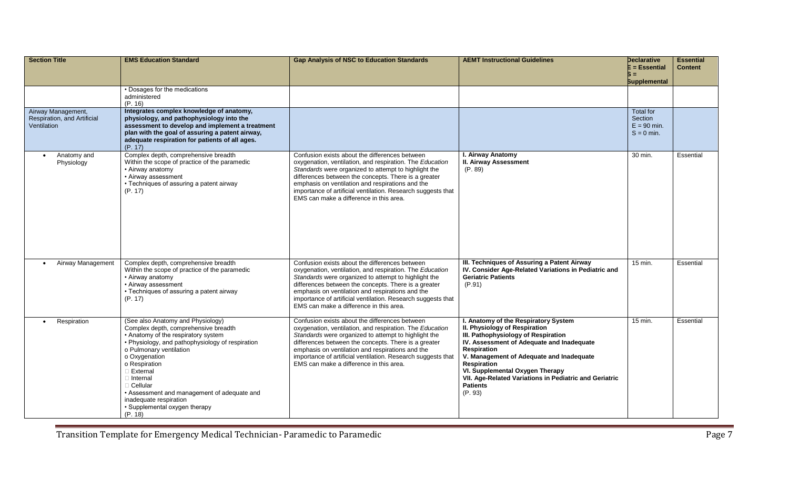| <b>Section Title</b>                                             | <b>EMS Education Standard</b>                                                                                                                                                                                                                                                                                                                                                                              | <b>Gap Analysis of NSC to Education Standards</b>                                                                                                                                                                                                                                                                                                                                         | <b>AEMT Instructional Guidelines</b>                                                                                                                                                                                                                                                                                                                                         | Declarative<br>E = Essential<br>5 =                   | <b>Essential</b><br><b>Content</b> |
|------------------------------------------------------------------|------------------------------------------------------------------------------------------------------------------------------------------------------------------------------------------------------------------------------------------------------------------------------------------------------------------------------------------------------------------------------------------------------------|-------------------------------------------------------------------------------------------------------------------------------------------------------------------------------------------------------------------------------------------------------------------------------------------------------------------------------------------------------------------------------------------|------------------------------------------------------------------------------------------------------------------------------------------------------------------------------------------------------------------------------------------------------------------------------------------------------------------------------------------------------------------------------|-------------------------------------------------------|------------------------------------|
|                                                                  | • Dosages for the medications<br>administered<br>(P. 16)                                                                                                                                                                                                                                                                                                                                                   |                                                                                                                                                                                                                                                                                                                                                                                           |                                                                                                                                                                                                                                                                                                                                                                              | <b>Supplemental</b>                                   |                                    |
| Airway Management,<br>Respiration, and Artificial<br>Ventilation | Integrates complex knowledge of anatomy,<br>physiology, and pathophysiology into the<br>assessment to develop and implement a treatment<br>plan with the goal of assuring a patent airway,<br>adequate respiration for patients of all ages.<br>(P. 17)                                                                                                                                                    |                                                                                                                                                                                                                                                                                                                                                                                           |                                                                                                                                                                                                                                                                                                                                                                              | Total for<br>Section<br>$E = 90$ min.<br>$S = 0$ min. |                                    |
| Anatomy and<br>$\bullet$<br>Physiology                           | Complex depth, comprehensive breadth<br>Within the scope of practice of the paramedic<br>• Airway anatomy<br>• Airway assessment<br>• Techniques of assuring a patent airway<br>(P. 17)                                                                                                                                                                                                                    | Confusion exists about the differences between<br>oxygenation, ventilation, and respiration. The Education<br>Standards were organized to attempt to highlight the<br>differences between the concepts. There is a greater<br>emphasis on ventilation and respirations and the<br>importance of artificial ventilation. Research suggests that<br>EMS can make a difference in this area. | I. Airway Anatomy<br><b>II. Airway Assessment</b><br>(P. 89)                                                                                                                                                                                                                                                                                                                 | 30 min.                                               | Essential                          |
| Airway Management                                                | Complex depth, comprehensive breadth<br>Within the scope of practice of the paramedic<br>• Airway anatomy<br>• Airway assessment<br>• Techniques of assuring a patent airway<br>(P. 17)                                                                                                                                                                                                                    | Confusion exists about the differences between<br>oxygenation, ventilation, and respiration. The Education<br>Standards were organized to attempt to highlight the<br>differences between the concepts. There is a greater<br>emphasis on ventilation and respirations and the<br>importance of artificial ventilation. Research suggests that<br>EMS can make a difference in this area. | III. Techniques of Assuring a Patent Airway<br>IV. Consider Age-Related Variations in Pediatric and<br><b>Geriatric Patients</b><br>(P.91)                                                                                                                                                                                                                                   | 15 min.                                               | Essential                          |
| Respiration                                                      | (See also Anatomy and Physiology)<br>Complex depth, comprehensive breadth<br>• Anatomy of the respiratory system<br>• Physiology, and pathophysiology of respiration<br>o Pulmonary ventilation<br>o Oxygenation<br>o Respiration<br>□ External<br>$\Box$ Internal<br><b>Cellular</b><br>• Assessment and management of adequate and<br>inadequate respiration<br>• Supplemental oxygen therapy<br>(P. 18) | Confusion exists about the differences between<br>oxygenation, ventilation, and respiration. The Education<br>Standards were organized to attempt to highlight the<br>differences between the concepts. There is a greater<br>emphasis on ventilation and respirations and the<br>importance of artificial ventilation. Research suggests that<br>EMS can make a difference in this area. | I. Anatomy of the Respiratory System<br><b>II. Physiology of Respiration</b><br>III. Pathophysiology of Respiration<br>IV. Assessment of Adequate and Inadequate<br><b>Respiration</b><br>V. Management of Adequate and Inadequate<br>Respiration<br>VI. Supplemental Oxygen Therapy<br>VII. Age-Related Variations in Pediatric and Geriatric<br><b>Patients</b><br>(P. 93) | $15$ min.                                             | Essential                          |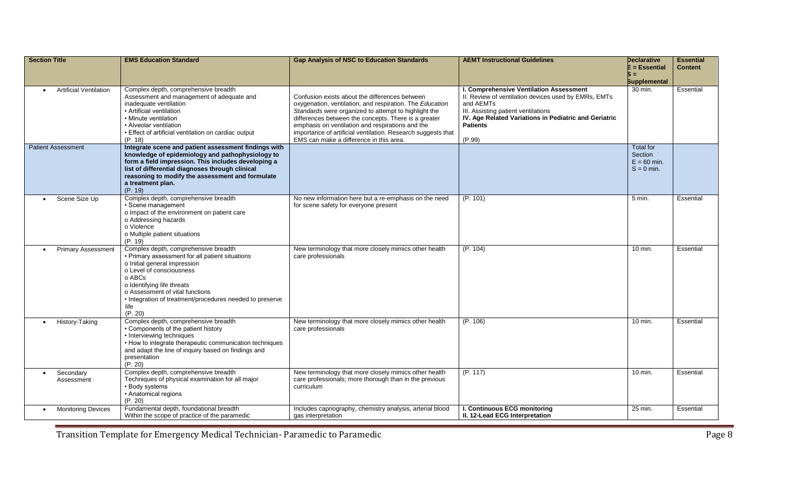| <b>Section Title</b>          | <b>EMS Education Standard</b>                                                                                                                                                                                                                                                                                 | <b>Gap Analysis of NSC to Education Standards</b>                                                                                                                                                                                                                                                                                                                                         | <b>AEMT Instructional Guidelines</b>                                                                                                                                                                                                      | Declarative<br>E = Essential                          | <b>Essential</b><br><b>Content</b> |
|-------------------------------|---------------------------------------------------------------------------------------------------------------------------------------------------------------------------------------------------------------------------------------------------------------------------------------------------------------|-------------------------------------------------------------------------------------------------------------------------------------------------------------------------------------------------------------------------------------------------------------------------------------------------------------------------------------------------------------------------------------------|-------------------------------------------------------------------------------------------------------------------------------------------------------------------------------------------------------------------------------------------|-------------------------------------------------------|------------------------------------|
|                               |                                                                                                                                                                                                                                                                                                               |                                                                                                                                                                                                                                                                                                                                                                                           |                                                                                                                                                                                                                                           | Б =<br><b>Supplemental</b>                            |                                    |
| <b>Artificial Ventilation</b> | Complex depth, comprehensive breadth<br>Assessment and management of adequate and<br>inadequate ventilation<br>• Artificial ventilation<br>• Minute ventilation<br>• Alveolar ventilation<br>• Effect of artificial ventilation on cardiac output<br>(P. 18)                                                  | Confusion exists about the differences between<br>oxygenation, ventilation, and respiration. The Education<br>Standards were organized to attempt to highlight the<br>differences between the concepts. There is a greater<br>emphasis on ventilation and respirations and the<br>importance of artificial ventilation. Research suggests that<br>EMS can make a difference in this area. | I. Comprehensive Ventilation Assessment<br>II. Review of ventilation devices used by EMRs, EMTs<br>and AEMTs<br>III. Assisting patient ventilations<br>IV. Age Related Variations in Pediatric and Geriatric<br><b>Patients</b><br>(P.99) | 30 min.                                               | Essential                          |
| <b>Patient Assessment</b>     | Integrate scene and patient assessment findings with<br>knowledge of epidemiology and pathophysiology to<br>form a field impression. This includes developing a<br>list of differential diagnoses through clinical<br>reasoning to modify the assessment and formulate<br>a treatment plan.<br>(P. 19)        |                                                                                                                                                                                                                                                                                                                                                                                           |                                                                                                                                                                                                                                           | Total for<br>Section<br>$E = 60$ min.<br>$S = 0$ min. |                                    |
| Scene Size Up<br>$\bullet$    | Complex depth, comprehensive breadth<br>• Scene management<br>o Impact of the environment on patient care<br>o Addressing hazards<br>o Violence<br>o Multiple patient situations<br>(P. 19)                                                                                                                   | No new information here but a re-emphasis on the need<br>for scene safety for everyone present                                                                                                                                                                                                                                                                                            | (P. 101)                                                                                                                                                                                                                                  | $5 \text{ min}$ .                                     | Essential                          |
| <b>Primary Assessment</b>     | Complex depth, comprehensive breadth<br>• Primary assessment for all patient situations<br>o Initial general impression<br>o Level of consciousness<br>o ABCs<br>o Identifying life threats<br>o Assessment of vital functions<br>• Integration of treatment/procedures needed to preserve<br>life<br>(P. 20) | New terminology that more closely mimics other health<br>care professionals                                                                                                                                                                                                                                                                                                               | (P. 104)                                                                                                                                                                                                                                  | 10 min.                                               | Essential                          |
| History-Taking                | Complex depth, comprehensive breadth<br>• Components of the patient history<br>• Interviewing techniques<br>• How to integrate therapeutic communication techniques<br>and adapt the line of inquiry based on findings and<br>presentation<br>(P. 20)                                                         | New terminology that more closely mimics other health<br>care professionals                                                                                                                                                                                                                                                                                                               | (P. 106)                                                                                                                                                                                                                                  | 10 min.                                               | Essential                          |
| Secondary<br>Assessment       | Complex depth, comprehensive breadth<br>Techniques of physical examination for all major<br>• Body systems<br>• Anatomical regions<br>(P. 20)                                                                                                                                                                 | New terminology that more closely mimics other health<br>care professionals; more thorough than in the previous<br>curriculum                                                                                                                                                                                                                                                             | (P. 117)                                                                                                                                                                                                                                  | 10 min.                                               | Essential                          |
| <b>Monitoring Devices</b>     | Fundamental depth, foundational breadth<br>Within the scope of practice of the paramedic                                                                                                                                                                                                                      | Includes capnography, chemistry analysis, arterial blood<br>gas interpretation                                                                                                                                                                                                                                                                                                            | I. Continuous ECG monitoring<br>II. 12-Lead ECG Interpretation                                                                                                                                                                            | 25 min.                                               | Essential                          |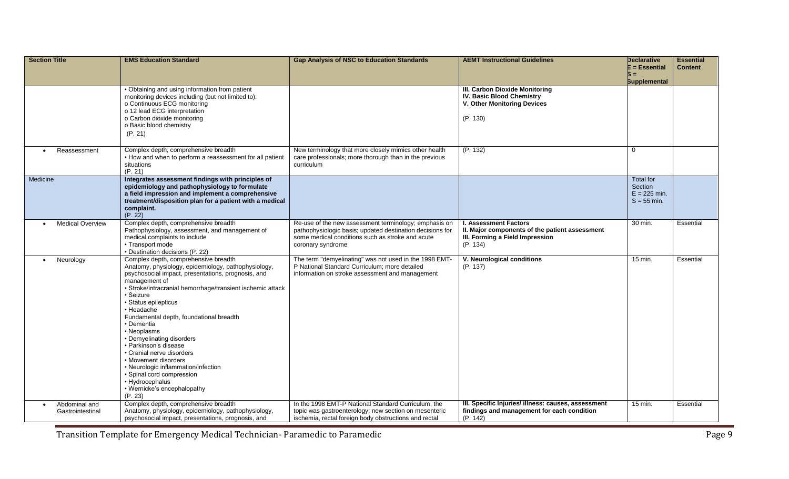| <b>Section Title</b>              | <b>EMS Education Standard</b>                                                                                                                                                                                                                                                                                                                                                                                                                                                                                                                                                                           | <b>Gap Analysis of NSC to Education Standards</b>                                                                                                                                           | <b>AEMT Instructional Guidelines</b>                                                                                          | <b>Declarative</b><br>E = Essential                     | <b>Essential</b><br><b>Content</b> |
|-----------------------------------|---------------------------------------------------------------------------------------------------------------------------------------------------------------------------------------------------------------------------------------------------------------------------------------------------------------------------------------------------------------------------------------------------------------------------------------------------------------------------------------------------------------------------------------------------------------------------------------------------------|---------------------------------------------------------------------------------------------------------------------------------------------------------------------------------------------|-------------------------------------------------------------------------------------------------------------------------------|---------------------------------------------------------|------------------------------------|
|                                   |                                                                                                                                                                                                                                                                                                                                                                                                                                                                                                                                                                                                         |                                                                                                                                                                                             |                                                                                                                               | Б =<br><b>Supplemental</b>                              |                                    |
|                                   | • Obtaining and using information from patient<br>monitoring devices including (but not limited to):<br>o Continuous ECG monitoring<br>o 12 lead ECG interpretation<br>o Carbon dioxide monitoring<br>o Basic blood chemistry<br>(P. 21)                                                                                                                                                                                                                                                                                                                                                                |                                                                                                                                                                                             | III. Carbon Dioxide Monitoring<br><b>IV. Basic Blood Chemistry</b><br>V. Other Monitoring Devices<br>(P. 130)                 |                                                         |                                    |
| Reassessment                      | Complex depth, comprehensive breadth<br>• How and when to perform a reassessment for all patient<br>situations<br>(P. 21)                                                                                                                                                                                                                                                                                                                                                                                                                                                                               | New terminology that more closely mimics other health<br>care professionals; more thorough than in the previous<br>curriculum                                                               | (P. 132)                                                                                                                      | $\overline{0}$                                          |                                    |
| Medicine                          | Integrates assessment findings with principles of<br>epidemiology and pathophysiology to formulate<br>a field impression and implement a comprehensive<br>treatment/disposition plan for a patient with a medical<br>complaint.<br>(P. 22)                                                                                                                                                                                                                                                                                                                                                              |                                                                                                                                                                                             |                                                                                                                               | Total for<br>Section<br>$E = 225$ min.<br>$S = 55$ min. |                                    |
| <b>Medical Overview</b>           | Complex depth, comprehensive breadth<br>Pathophysiology, assessment, and management of<br>medical complaints to include<br>• Transport mode<br>• Destination decisions (P. 22)                                                                                                                                                                                                                                                                                                                                                                                                                          | Re-use of the new assessment terminology; emphasis on<br>pathophysiologic basis; updated destination decisions for<br>some medical conditions such as stroke and acute<br>coronary syndrome | <b>I. Assessment Factors</b><br>II. Major components of the patient assessment<br>III. Forming a Field Impression<br>(P. 134) | 30 min.                                                 | Essential                          |
| Neurology<br>$\bullet$            | Complex depth, comprehensive breadth<br>Anatomy, physiology, epidemiology, pathophysiology,<br>psychosocial impact, presentations, prognosis, and<br>management of<br>· Stroke/intracranial hemorrhage/transient ischemic attack<br>· Seizure<br>· Status epilepticus<br>• Headache<br>Fundamental depth, foundational breadth<br>• Dementia<br>• Neoplasms<br>• Demyelinating disorders<br>• Parkinson's disease<br>• Cranial nerve disorders<br>• Movement disorders<br>• Neurologic inflammation/infection<br>· Spinal cord compression<br>• Hydrocephalus<br>• Wernicke's encephalopathy<br>(P. 23) | The term "demyelinating" was not used in the 1998 EMT-<br>P National Standard Curriculum; more detailed<br>information on stroke assessment and management                                  | V. Neurological conditions<br>(P. 137)                                                                                        | 15 min.                                                 | Essential                          |
| Abdominal and<br>Gastrointestinal | Complex depth, comprehensive breadth<br>Anatomy, physiology, epidemiology, pathophysiology,<br>psychosocial impact, presentations, prognosis, and                                                                                                                                                                                                                                                                                                                                                                                                                                                       | In the 1998 EMT-P National Standard Curriculum, the<br>topic was gastroenterology; new section on mesenteric<br>ischemia, rectal foreign body obstructions and rectal                       | III. Specific Injuries/ illness: causes, assessment<br>findings and management for each condition<br>(P. 142)                 | 15 min.                                                 | Essential                          |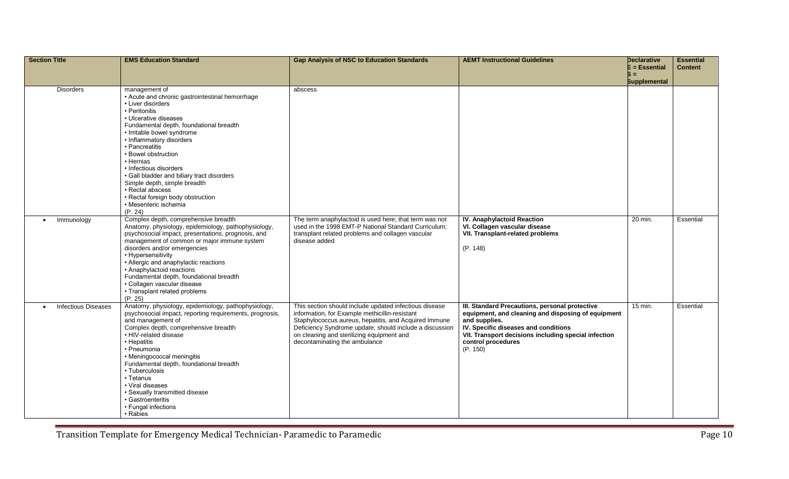| <b>Section Title</b>                    | <b>EMS Education Standard</b>                                                                                                                                                                                                                                                                                                                                                                                                                                                                   | <b>Gap Analysis of NSC to Education Standards</b>                                                                                                                                                                                                                                                          | <b>AEMT Instructional Guidelines</b>                                                                                                                                                                                                                    | Declarative<br>E = Essential<br>6 =<br><b>Supplemental</b> | <b>Essential</b><br><b>Content</b> |
|-----------------------------------------|-------------------------------------------------------------------------------------------------------------------------------------------------------------------------------------------------------------------------------------------------------------------------------------------------------------------------------------------------------------------------------------------------------------------------------------------------------------------------------------------------|------------------------------------------------------------------------------------------------------------------------------------------------------------------------------------------------------------------------------------------------------------------------------------------------------------|---------------------------------------------------------------------------------------------------------------------------------------------------------------------------------------------------------------------------------------------------------|------------------------------------------------------------|------------------------------------|
| <b>Disorders</b>                        | management of<br>• Acute and chronic gastrointestinal hemorrhage<br>• Liver disorders<br>• Peritonitis<br>• Ulcerative diseases<br>Fundamental depth, foundational breadth<br>· Irritable bowel syndrome<br>• Inflammatory disorders<br>• Pancreatitis<br>• Bowel obstruction<br>· Hernias<br>• Infectious disorders<br>· Gall bladder and biliary tract disorders<br>Simple depth, simple breadth<br>· Rectal abscess<br>• Rectal foreign body obstruction<br>· Mesenteric ischemia<br>(P. 24) | abscess                                                                                                                                                                                                                                                                                                    |                                                                                                                                                                                                                                                         |                                                            |                                    |
| Immunology                              | Complex depth, comprehensive breadth<br>Anatomy, physiology, epidemiology, pathophysiology,<br>psychosocial impact, presentations, prognosis, and<br>management of common or major immune system<br>disorders and/or emergencies<br>• Hypersensitivity<br>• Allergic and anaphylactic reactions<br>• Anaphylactoid reactions<br>Fundamental depth, foundational breadth<br>· Collagen vascular disease<br>• Transplant related problems<br>(P. 25)                                              | The term anaphylactoid is used here; that term was not<br>used in the 1998 EMT-P National Standard Curriculum;<br>transplant related problems and collagen vascular<br>disease added                                                                                                                       | <b>IV. Anaphylactoid Reaction</b><br>VI. Collagen vascular disease<br>VII. Transplant-related problems<br>(P. 148)                                                                                                                                      | 20 min.                                                    | Essential                          |
| <b>Infectious Diseases</b><br>$\bullet$ | Anatomy, physiology, epidemiology, pathophysiology,<br>psychosocial impact, reporting requirements, prognosis,<br>and management of<br>Complex depth, comprehensive breadth<br>· HIV-related disease<br>• Hepatitis<br>• Pneumonia<br>• Meningococcal meningitis<br>Fundamental depth, foundational breadth<br>• Tuberculosis<br>• Tetanus<br>• Viral diseases<br>· Sexually transmitted disease<br>• Gastroenteritis<br>• Fungal infections<br>• Rabies                                        | This section should include updated infectious disease<br>information, for Example methicillin-resistant<br>Staphylococcus aureus, hepatitis, and Acquired Immune<br>Deficiency Syndrome update; should include a discussion<br>on cleaning and sterilizing equipment and<br>decontaminating the ambulance | III. Standard Precautions, personal protective<br>equipment, and cleaning and disposing of equipment<br>and supplies.<br>IV. Specific diseases and conditions<br>VII. Transport decisions including special infection<br>control procedures<br>(P. 150) | 15 min.                                                    | Essential                          |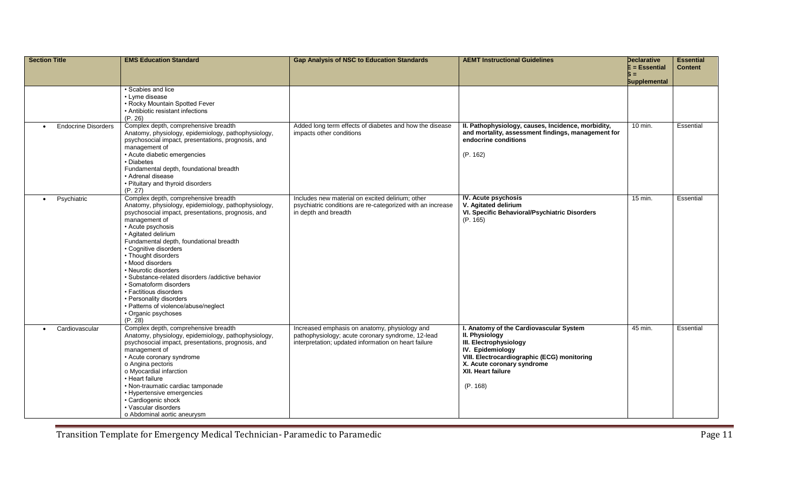| <b>Section Title</b>                    | <b>EMS Education Standard</b>                                                                                                                                                                                                                                                                                                                                                                                                                                                                                                                                       | <b>Gap Analysis of NSC to Education Standards</b>                                                                                                          | <b>AEMT Instructional Guidelines</b>                                                                                                                                                                                   | <b>Declarative</b><br>E = Essential | <b>Essential</b><br><b>Content</b> |
|-----------------------------------------|---------------------------------------------------------------------------------------------------------------------------------------------------------------------------------------------------------------------------------------------------------------------------------------------------------------------------------------------------------------------------------------------------------------------------------------------------------------------------------------------------------------------------------------------------------------------|------------------------------------------------------------------------------------------------------------------------------------------------------------|------------------------------------------------------------------------------------------------------------------------------------------------------------------------------------------------------------------------|-------------------------------------|------------------------------------|
|                                         |                                                                                                                                                                                                                                                                                                                                                                                                                                                                                                                                                                     |                                                                                                                                                            |                                                                                                                                                                                                                        | Б =<br><b>Supplemental</b>          |                                    |
|                                         | • Scabies and lice<br>• Lyme disease<br>• Rocky Mountain Spotted Fever<br>• Antibiotic resistant infections<br>(P. 26)                                                                                                                                                                                                                                                                                                                                                                                                                                              |                                                                                                                                                            |                                                                                                                                                                                                                        |                                     |                                    |
| <b>Endocrine Disorders</b><br>$\bullet$ | Complex depth, comprehensive breadth<br>Anatomy, physiology, epidemiology, pathophysiology,<br>psychosocial impact, presentations, prognosis, and<br>management of<br>• Acute diabetic emergencies<br>• Diabetes<br>Fundamental depth, foundational breadth<br>• Adrenal disease<br>• Pituitary and thyroid disorders<br>(P. 27)                                                                                                                                                                                                                                    | Added long term effects of diabetes and how the disease<br>impacts other conditions                                                                        | II. Pathophysiology, causes, Incidence, morbidity,<br>and mortality, assessment findings, management for<br>endocrine conditions<br>(P. 162)                                                                           | 10 min.                             | Essential                          |
| Psychiatric<br>$\bullet$                | Complex depth, comprehensive breadth<br>Anatomy, physiology, epidemiology, pathophysiology,<br>psychosocial impact, presentations, prognosis, and<br>management of<br>• Acute psychosis<br>• Agitated delirium<br>Fundamental depth, foundational breadth<br>• Cognitive disorders<br>• Thought disorders<br>• Mood disorders<br>• Neurotic disorders<br>· Substance-related disorders /addictive behavior<br>· Somatoform disorders<br>• Factitious disorders<br>• Personality disorders<br>• Patterns of violence/abuse/neglect<br>• Organic psychoses<br>(P, 28) | Includes new material on excited delirium; other<br>psychiatric conditions are re-categorized with an increase<br>in depth and breadth                     | IV. Acute psychosis<br>V. Agitated delirium<br>VI. Specific Behavioral/Psychiatric Disorders<br>(P. 165)                                                                                                               | 15 min.                             | Essential                          |
| Cardiovascular<br>$\bullet$             | Complex depth, comprehensive breadth<br>Anatomy, physiology, epidemiology, pathophysiology,<br>psychosocial impact, presentations, prognosis, and<br>management of<br>• Acute coronary syndrome<br>o Angina pectoris<br>o Myocardial infarction<br>• Heart failure<br>• Non-traumatic cardiac tamponade<br>• Hypertensive emergencies<br>• Cardiogenic shock<br>• Vascular disorders<br>o Abdominal aortic aneurysm                                                                                                                                                 | Increased emphasis on anatomy, physiology and<br>pathophysiology; acute coronary syndrome, 12-lead<br>interpretation; updated information on heart failure | I. Anatomy of the Cardiovascular System<br>II. Physiology<br>III. Electrophysiology<br>IV. Epidemiology<br>VIII. Electrocardiographic (ECG) monitoring<br>X. Acute coronary syndrome<br>XII. Heart failure<br>(P. 168) | 45 min.                             | Essential                          |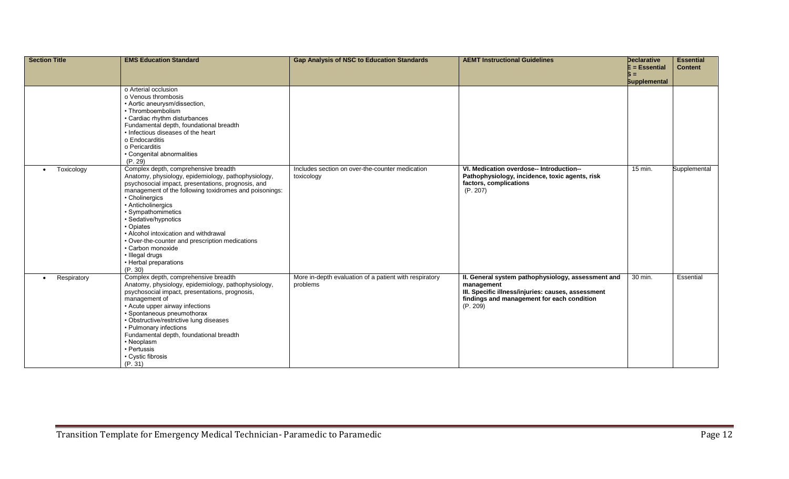| Section Title            | <b>EMS Education Standard</b>                                                                                                                                                                                                                                                                                                                                                                                                                                                          | <b>Gap Analysis of NSC to Education Standards</b>                  | <b>AEMT Instructional Guidelines</b>                                                                                                                                             | <b>Declarative</b><br>$E = E$ ssential | <b>Essential</b><br><b>Content</b> |
|--------------------------|----------------------------------------------------------------------------------------------------------------------------------------------------------------------------------------------------------------------------------------------------------------------------------------------------------------------------------------------------------------------------------------------------------------------------------------------------------------------------------------|--------------------------------------------------------------------|----------------------------------------------------------------------------------------------------------------------------------------------------------------------------------|----------------------------------------|------------------------------------|
|                          |                                                                                                                                                                                                                                                                                                                                                                                                                                                                                        |                                                                    |                                                                                                                                                                                  | Б =<br><b>Supplemental</b>             |                                    |
|                          | o Arterial occlusion<br>o Venous thrombosis<br>• Aortic aneurysm/dissection,<br>• Thromboembolism<br>• Cardiac rhythm disturbances<br>Fundamental depth, foundational breadth<br>• Infectious diseases of the heart<br>o Endocarditis<br>o Pericarditis<br>• Congenital abnormalities<br>(P. 29)                                                                                                                                                                                       |                                                                    |                                                                                                                                                                                  |                                        |                                    |
| Toxicology<br>$\bullet$  | Complex depth, comprehensive breadth<br>Anatomy, physiology, epidemiology, pathophysiology,<br>psychosocial impact, presentations, prognosis, and<br>management of the following toxidromes and poisonings:<br>• Cholinergics<br>• Anticholinergics<br>• Sympathomimetics<br>· Sedative/hypnotics<br>• Opiates<br>• Alcohol intoxication and withdrawal<br>• Over-the-counter and prescription medications<br>• Carbon monoxide<br>· Illegal drugs<br>• Herbal preparations<br>(P. 30) | Includes section on over-the-counter medication<br>toxicology      | VI. Medication overdose-- Introduction--<br>Pathophysiology, incidence, toxic agents, risk<br>factors, complications<br>(P. 207)                                                 | 15 min.                                | Supplemental                       |
| Respiratory<br>$\bullet$ | Complex depth, comprehensive breadth<br>Anatomy, physiology, epidemiology, pathophysiology,<br>psychosocial impact, presentations, prognosis,<br>management of<br>• Acute upper airway infections<br>• Spontaneous pneumothorax<br>• Obstructive/restrictive lung diseases<br>• Pulmonary infections<br>Fundamental depth, foundational breadth<br>• Neoplasm<br>• Pertussis<br>• Cystic fibrosis<br>(P. 31)                                                                           | More in-depth evaluation of a patient with respiratory<br>problems | II. General system pathophysiology, assessment and<br>management<br>III. Specific illness/injuries: causes, assessment<br>findings and management for each condition<br>(P. 209) | 30 min.                                | Essential                          |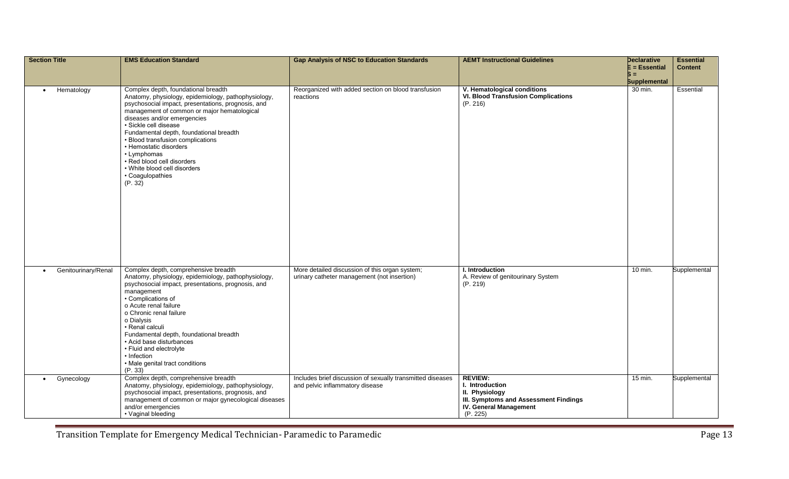| <b>Section Title</b>             | <b>EMS Education Standard</b>                                                                                                                                                                                                                                                                                                                                                                                                                                                 | <b>Gap Analysis of NSC to Education Standards</b>                                             | <b>AEMT Instructional Guidelines</b>                                                                                                             | <b>Declarative</b><br>$E = E$ ssential<br>Б =<br><b>Supplemental</b> | <b>Essential</b><br><b>Content</b> |
|----------------------------------|-------------------------------------------------------------------------------------------------------------------------------------------------------------------------------------------------------------------------------------------------------------------------------------------------------------------------------------------------------------------------------------------------------------------------------------------------------------------------------|-----------------------------------------------------------------------------------------------|--------------------------------------------------------------------------------------------------------------------------------------------------|----------------------------------------------------------------------|------------------------------------|
| Hematology<br>$\bullet$          | Complex depth, foundational breadth<br>Anatomy, physiology, epidemiology, pathophysiology,<br>psychosocial impact, presentations, prognosis, and<br>management of common or major hematological<br>diseases and/or emergencies<br>· Sickle cell disease<br>Fundamental depth, foundational breadth<br>• Blood transfusion complications<br>• Hemostatic disorders<br>• Lymphomas<br>• Red blood cell disorders<br>• White blood cell disorders<br>• Coagulopathies<br>(P. 32) | Reorganized with added section on blood transfusion<br>reactions                              | V. Hematological conditions<br><b>VI. Blood Transfusion Complications</b><br>(P. 216)                                                            | 30 min.                                                              | Essential                          |
| Genitourinary/Renal<br>$\bullet$ | Complex depth, comprehensive breadth<br>Anatomy, physiology, epidemiology, pathophysiology,<br>psychosocial impact, presentations, prognosis, and<br>management<br>• Complications of<br>o Acute renal failure<br>o Chronic renal failure<br>o Dialysis<br>· Renal calculi<br>Fundamental depth, foundational breadth<br>• Acid base disturbances<br>• Fluid and electrolyte<br>• Infection<br>• Male genital tract conditions<br>(P. 33)                                     | More detailed discussion of this organ system;<br>urinary catheter management (not insertion) | I. Introduction<br>A. Review of genitourinary System<br>(P. 219)                                                                                 | 10 min.                                                              | Supplemental                       |
| Gynecology<br>$\bullet$          | Complex depth, comprehensive breadth<br>Anatomy, physiology, epidemiology, pathophysiology,<br>psychosocial impact, presentations, prognosis, and<br>management of common or major gynecological diseases<br>and/or emergencies<br>• Vaginal bleeding                                                                                                                                                                                                                         | Includes brief discussion of sexually transmitted diseases<br>and pelvic inflammatory disease | <b>REVIEW:</b><br>I. Introduction<br>II. Physiology<br><b>III. Symptoms and Assessment Findings</b><br><b>IV. General Management</b><br>(P. 225) | 15 min.                                                              | Supplemental                       |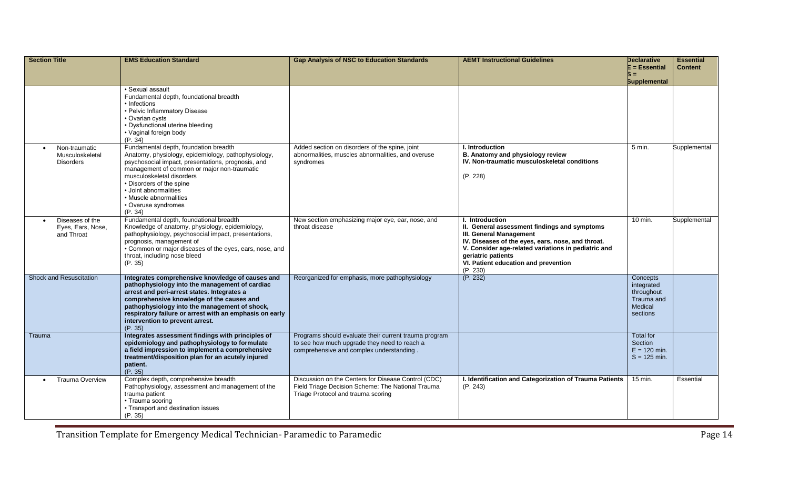| <b>Section Title</b>                                 | <b>EMS Education Standard</b>                                                                                                                                                                                                                                                                                                                            | <b>Gap Analysis of NSC to Education Standards</b>                                                                                                 | <b>AEMT Instructional Guidelines</b>                                                                                                                                                                                                                                                    | Declarative<br>E = Essential<br>S = 1                                     | <b>Essential</b><br><b>Content</b> |
|------------------------------------------------------|----------------------------------------------------------------------------------------------------------------------------------------------------------------------------------------------------------------------------------------------------------------------------------------------------------------------------------------------------------|---------------------------------------------------------------------------------------------------------------------------------------------------|-----------------------------------------------------------------------------------------------------------------------------------------------------------------------------------------------------------------------------------------------------------------------------------------|---------------------------------------------------------------------------|------------------------------------|
|                                                      | • Sexual assault<br>Fundamental depth, foundational breadth<br>• Infections<br>• Pelvic Inflammatory Disease<br>• Ovarian cysts<br>• Dysfunctional uterine bleeding<br>• Vaginal foreign body<br>(P. 34)                                                                                                                                                 |                                                                                                                                                   |                                                                                                                                                                                                                                                                                         | <b>Supplemental</b>                                                       |                                    |
| Non-traumatic<br>Musculoskeletal<br><b>Disorders</b> | Fundamental depth, foundation breadth<br>Anatomy, physiology, epidemiology, pathophysiology,<br>psychosocial impact, presentations, prognosis, and<br>management of common or major non-traumatic<br>musculoskeletal disorders<br>• Disorders of the spine<br>• Joint abnormalities<br>• Muscle abnormalities<br>• Overuse syndromes<br>(P. 34)          | Added section on disorders of the spine, joint<br>abnormalities, muscles abnormalities, and overuse<br>syndromes                                  | I. Introduction<br>B. Anatomy and physiology review<br>IV. Non-traumatic musculoskeletal conditions<br>(P. 228)                                                                                                                                                                         | 5 min.                                                                    | Supplemental                       |
| Diseases of the<br>Eyes, Ears, Nose,<br>and Throat   | Fundamental depth, foundational breadth<br>Knowledge of anatomy, physiology, epidemiology,<br>pathophysiology, psychosocial impact, presentations,<br>prognosis, management of<br>• Common or major diseases of the eyes, ears, nose, and<br>throat, including nose bleed<br>(P. 35)                                                                     | New section emphasizing major eye, ear, nose, and<br>throat disease                                                                               | I. Introduction<br>II. General assessment findings and symptoms<br><b>III. General Management</b><br>IV. Diseases of the eyes, ears, nose, and throat.<br>V. Consider age-related variations in pediatric and<br>geriatric patients<br>VI. Patient education and prevention<br>(P. 230) | 10 min.                                                                   | Supplemental                       |
| Shock and Resuscitation                              | Integrates comprehensive knowledge of causes and<br>pathophysiology into the management of cardiac<br>arrest and peri-arrest states. Integrates a<br>comprehensive knowledge of the causes and<br>pathophysiology into the management of shock,<br>respiratory failure or arrest with an emphasis on early<br>intervention to prevent arrest.<br>(P. 35) | Reorganized for emphasis, more pathophysiology                                                                                                    | (P. 232)                                                                                                                                                                                                                                                                                | Concepts<br>integrated<br>throughout<br>Trauma and<br>Medical<br>sections |                                    |
| Trauma                                               | Integrates assessment findings with principles of<br>epidemiology and pathophysiology to formulate<br>a field impression to implement a comprehensive<br>treatment/disposition plan for an acutely injured<br>patient.<br>(P. 35)                                                                                                                        | Programs should evaluate their current trauma program<br>to see how much upgrade they need to reach a<br>comprehensive and complex understanding. |                                                                                                                                                                                                                                                                                         | Total for<br>Section<br>$E = 120$ min.<br>$S = 125$ min.                  |                                    |
| <b>Trauma Overview</b>                               | Complex depth, comprehensive breadth<br>Pathophysiology, assessment and management of the<br>trauma patient<br>• Trauma scoring<br>• Transport and destination issues<br>(P. 35)                                                                                                                                                                         | Discussion on the Centers for Disease Control (CDC)<br>Field Triage Decision Scheme: The National Trauma<br>Triage Protocol and trauma scoring    | I. Identification and Categorization of Trauma Patients<br>(P. 243)                                                                                                                                                                                                                     | 15 min.                                                                   | Essential                          |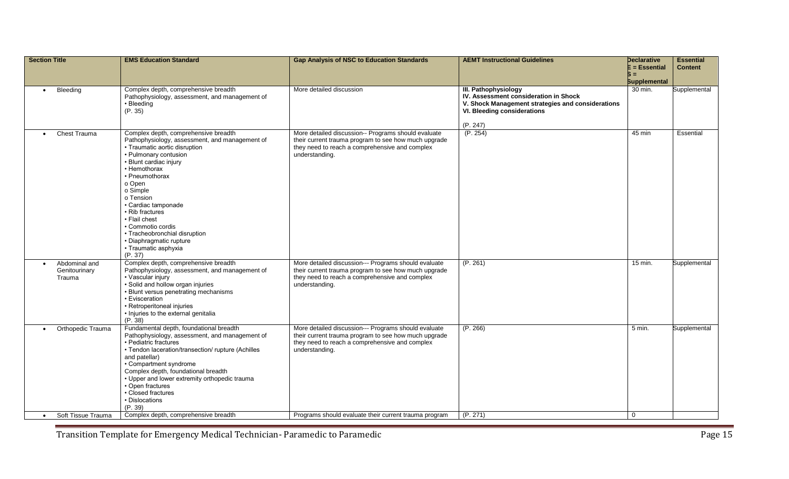| <b>Section Title</b>                                  | <b>EMS Education Standard</b>                                                                                                                                                                                                                                                                                                                                                                                                  | <b>Gap Analysis of NSC to Education Standards</b>                                                                                                                                | <b>AEMT Instructional Guidelines</b>                                                                                                                          | <b>Declarative</b><br>E = Essential | <b>Essential</b><br><b>Content</b> |
|-------------------------------------------------------|--------------------------------------------------------------------------------------------------------------------------------------------------------------------------------------------------------------------------------------------------------------------------------------------------------------------------------------------------------------------------------------------------------------------------------|----------------------------------------------------------------------------------------------------------------------------------------------------------------------------------|---------------------------------------------------------------------------------------------------------------------------------------------------------------|-------------------------------------|------------------------------------|
|                                                       |                                                                                                                                                                                                                                                                                                                                                                                                                                |                                                                                                                                                                                  |                                                                                                                                                               | Б =<br><b>Supplemental</b>          |                                    |
| Bleeding<br>$\bullet$                                 | Complex depth, comprehensive breadth<br>Pathophysiology, assessment, and management of<br>• Bleeding<br>(P. 35)                                                                                                                                                                                                                                                                                                                | More detailed discussion                                                                                                                                                         | III. Pathophysiology<br>IV. Assessment consideration in Shock<br>V. Shock Management strategies and considerations<br>VI. Bleeding considerations<br>(P. 247) | 30 min.                             | Supplemental                       |
| Chest Trauma<br>$\bullet$                             | Complex depth, comprehensive breadth<br>Pathophysiology, assessment, and management of<br>• Traumatic aortic disruption<br>• Pulmonary contusion<br>· Blunt cardiac injury<br>• Hemothorax<br>• Pneumothorax<br>o Open<br>o Simple<br>o Tension<br>· Cardiac tamponade<br>• Rib fractures<br>• Flail chest<br>• Commotio cordis<br>• Tracheobronchial disruption<br>· Diaphragmatic rupture<br>• Traumatic asphyxia<br>(P. 37) | More detailed discussion-- Programs should evaluate<br>their current trauma program to see how much upgrade<br>they need to reach a comprehensive and complex<br>understanding.  | (P. 254)                                                                                                                                                      | 45 min                              | <b>Essential</b>                   |
| Abdominal and<br>$\bullet$<br>Genitourinary<br>Trauma | Complex depth, comprehensive breadth<br>Pathophysiology, assessment, and management of<br>• Vascular injury<br>· Solid and hollow organ injuries<br>• Blunt versus penetrating mechanisms<br>• Evisceration<br>• Retroperitoneal injuries<br>• Injuries to the external genitalia<br>(P. 38)                                                                                                                                   | More detailed discussion--- Programs should evaluate<br>their current trauma program to see how much upgrade<br>they need to reach a comprehensive and complex<br>understanding. | (P. 261)                                                                                                                                                      | $15$ min.                           | Supplemental                       |
| Orthopedic Trauma                                     | Fundamental depth, foundational breadth<br>Pathophysiology, assessment, and management of<br>· Pediatric fractures<br>• Tendon laceration/transection/ rupture (Achilles<br>and patellar)<br>• Compartment syndrome<br>Complex depth, foundational breadth<br>• Upper and lower extremity orthopedic trauma<br>• Open fractures<br>• Closed fractures<br>• Dislocations<br>(P. 39)                                             | More detailed discussion--- Programs should evaluate<br>their current trauma program to see how much upgrade<br>they need to reach a comprehensive and complex<br>understanding. | (P. 266)                                                                                                                                                      | 5 min.                              | Supplemental                       |
| Soft Tissue Trauma<br>$\bullet$                       | Complex depth, comprehensive breadth                                                                                                                                                                                                                                                                                                                                                                                           | Programs should evaluate their current trauma program                                                                                                                            | (P. 271)                                                                                                                                                      | $\overline{0}$                      |                                    |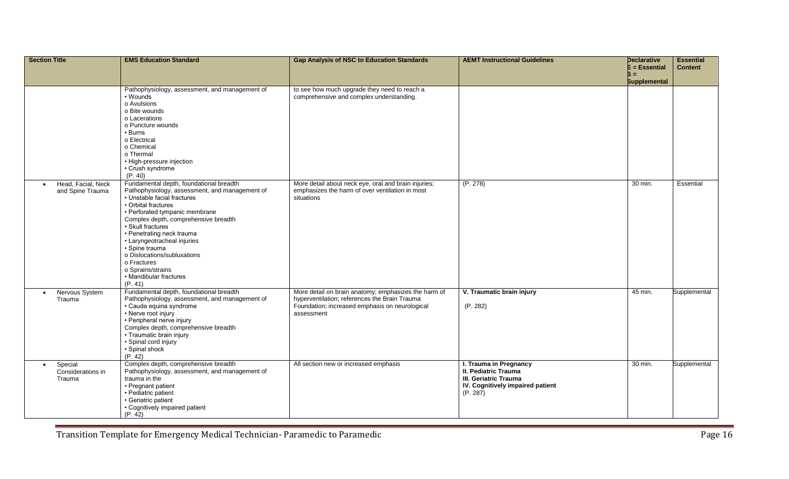| <b>Section Title</b>                                | <b>EMS Education Standard</b>                                                                                                                                                                                                                                                                                                                                                                                                        | <b>Gap Analysis of NSC to Education Standards</b>                                                                                                                     | <b>AEMT Instructional Guidelines</b>                                                                                    | <b>Declarative</b><br>$E = E$ ssential<br>Б =<br><b>Supplemental</b> | <b>Essential</b><br><b>Content</b> |
|-----------------------------------------------------|--------------------------------------------------------------------------------------------------------------------------------------------------------------------------------------------------------------------------------------------------------------------------------------------------------------------------------------------------------------------------------------------------------------------------------------|-----------------------------------------------------------------------------------------------------------------------------------------------------------------------|-------------------------------------------------------------------------------------------------------------------------|----------------------------------------------------------------------|------------------------------------|
|                                                     | Pathophysiology, assessment, and management of<br>• Wounds<br>o Avulsions<br>o Bite wounds<br>o Lacerations<br>o Puncture wounds<br>• Burns<br>o Electrical<br>o Chemical<br>o Thermal<br>• High-pressure injection<br>· Crush syndrome<br>(P. 40)                                                                                                                                                                                   | to see how much upgrade they need to reach a<br>comprehensive and complex understanding.                                                                              |                                                                                                                         |                                                                      |                                    |
| Head, Facial, Neck<br>$\bullet$<br>and Spine Trauma | Fundamental depth, foundational breadth<br>Pathophysiology, assessment, and management of<br>· Unstable facial fractures<br>• Orbital fractures<br>• Perforated tympanic membrane<br>Complex depth, comprehensive breadth<br>· Skull fractures<br>• Penetrating neck trauma<br>• Laryngeotracheal injuries<br>· Spine trauma<br>o Dislocations/subluxations<br>o Fractures<br>o Sprains/strains<br>• Mandibular fractures<br>(P. 41) | More detail about neck eye, oral and brain injuries;<br>emphasizes the harm of over ventilation in most<br>situations                                                 | (P. 278)                                                                                                                | 30 min.                                                              | Essential                          |
| Nervous System<br>$\bullet$<br>Trauma               | Fundamental depth, foundational breadth<br>Pathophysiology, assessment, and management of<br>· Cauda equina syndrome<br>• Nerve root injury<br>· Peripheral nerve injury<br>Complex depth, comprehensive breadth<br>· Traumatic brain injury<br>· Spinal cord injury<br>· Spinal shock<br>(P. 42)                                                                                                                                    | More detail on brain anatomy; emphasizes the harm of<br>hyperventilation; references the Brain Trauma<br>Foundation; increased emphasis on neurological<br>assessment | V. Traumatic brain injury<br>(P. 282)                                                                                   | 45 min.                                                              | Supplemental                       |
| Special<br>$\bullet$<br>Considerations in<br>Trauma | Complex depth, comprehensive breadth<br>Pathophysiology, assessment, and management of<br>trauma in the<br>• Pregnant patient<br>· Pediatric patient<br>· Geriatric patient<br>• Cognitively impaired patient<br>(P. 42)                                                                                                                                                                                                             | All section new or increased emphasis                                                                                                                                 | I. Trauma in Pregnancy<br>II. Pediatric Trauma<br>III. Geriatric Trauma<br>IV. Cognitively impaired patient<br>(P. 287) | 30 min.                                                              | Supplemental                       |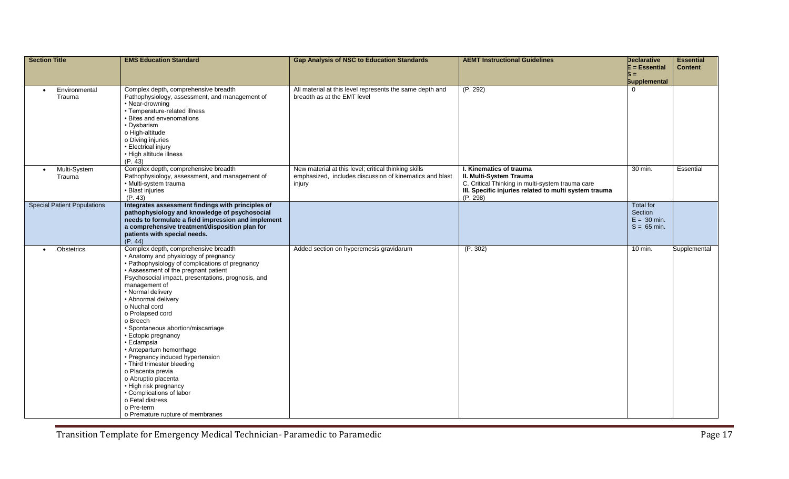| <b>Section Title</b>                 | <b>EMS Education Standard</b>                                                                                                                                                                                                                                                                                                                                                                                                                                                                                                                                                                                                                                                                | <b>Gap Analysis of NSC to Education Standards</b>                                                                         | <b>AEMT Instructional Guidelines</b>                                                                                                                                        | <b>Declarative</b><br>$E = E$ ssential<br>Б =<br><b>Supplemental</b> | <b>Essential</b><br><b>Content</b> |
|--------------------------------------|----------------------------------------------------------------------------------------------------------------------------------------------------------------------------------------------------------------------------------------------------------------------------------------------------------------------------------------------------------------------------------------------------------------------------------------------------------------------------------------------------------------------------------------------------------------------------------------------------------------------------------------------------------------------------------------------|---------------------------------------------------------------------------------------------------------------------------|-----------------------------------------------------------------------------------------------------------------------------------------------------------------------------|----------------------------------------------------------------------|------------------------------------|
| Environmental<br>$\bullet$<br>Trauma | Complex depth, comprehensive breadth<br>Pathophysiology, assessment, and management of<br>• Near-drowning<br>· Temperature-related illness<br>• Bites and envenomations<br>• Dysbarism<br>o High-altitude<br>o Diving injuries<br>• Electrical injury<br>• High altitude illness<br>(P. 43)                                                                                                                                                                                                                                                                                                                                                                                                  | All material at this level represents the same depth and<br>breadth as at the EMT level                                   | (P. 292)                                                                                                                                                                    |                                                                      |                                    |
| Multi-System<br>$\bullet$<br>Trauma  | Complex depth, comprehensive breadth<br>Pathophysiology, assessment, and management of<br>· Multi-system trauma<br>· Blast injuries<br>(P. 43)                                                                                                                                                                                                                                                                                                                                                                                                                                                                                                                                               | New material at this level; critical thinking skills<br>emphasized, includes discussion of kinematics and blast<br>injury | I. Kinematics of trauma<br>II. Multi-System Trauma<br>C. Critical Thinking in multi-system trauma care<br>III. Specific injuries related to multi system trauma<br>(P. 298) | 30 min.                                                              | Essential                          |
| <b>Special Patient Populations</b>   | Integrates assessment findings with principles of<br>pathophysiology and knowledge of psychosocial<br>needs to formulate a field impression and implement<br>a comprehensive treatment/disposition plan for<br>patients with special needs.<br>(P. 44)                                                                                                                                                                                                                                                                                                                                                                                                                                       |                                                                                                                           |                                                                                                                                                                             | <b>Total for</b><br>Section<br>$E = 30$ min.<br>$S = 65$ min.        |                                    |
| Obstetrics<br>$\bullet$              | Complex depth, comprehensive breadth<br>• Anatomy and physiology of pregnancy<br>• Pathophysiology of complications of pregnancy<br>• Assessment of the pregnant patient<br>Psychosocial impact, presentations, prognosis, and<br>management of<br>• Normal delivery<br>• Abnormal delivery<br>o Nuchal cord<br>o Prolapsed cord<br>o Breech<br>• Spontaneous abortion/miscarriage<br>· Ectopic pregnancy<br>· Eclampsia<br>• Antepartum hemorrhage<br>• Pregnancy induced hypertension<br>• Third trimester bleeding<br>o Placenta previa<br>o Abruptio placenta<br>• High risk pregnancy<br>• Complications of labor<br>o Fetal distress<br>o Pre-term<br>o Premature rupture of membranes | Added section on hyperemesis gravidarum                                                                                   | (P. 302)                                                                                                                                                                    | 10 min.                                                              | Supplemental                       |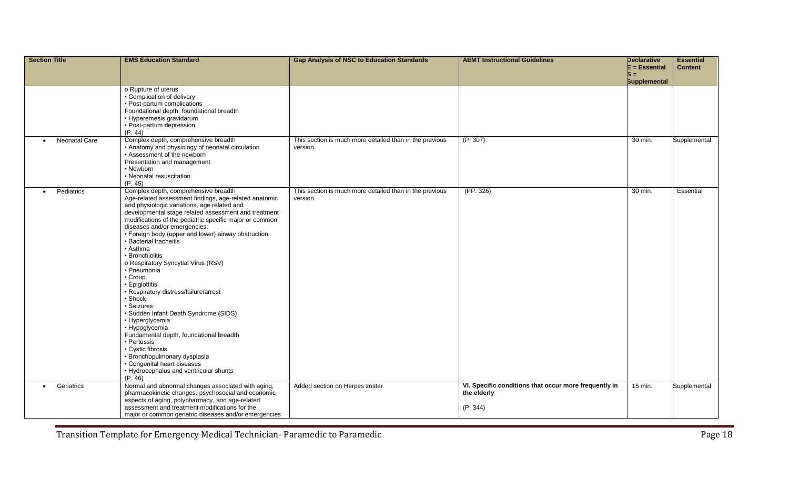| <b>Section Title</b>       | <b>EMS Education Standard</b>                                                                       | <b>Gap Analysis of NSC to Education Standards</b>       | <b>AEMT Instructional Guidelines</b>                  | Declarative<br>E = Essential | <b>Essential</b><br><b>Content</b> |
|----------------------------|-----------------------------------------------------------------------------------------------------|---------------------------------------------------------|-------------------------------------------------------|------------------------------|------------------------------------|
|                            |                                                                                                     |                                                         |                                                       | Б =                          |                                    |
|                            |                                                                                                     |                                                         |                                                       | <b>Supplemental</b>          |                                    |
|                            | o Rupture of uterus<br>• Complication of delivery                                                   |                                                         |                                                       |                              |                                    |
|                            | • Post-partum complications                                                                         |                                                         |                                                       |                              |                                    |
|                            | Foundational depth, foundational breadth                                                            |                                                         |                                                       |                              |                                    |
|                            | • Hyperemesis gravidarum                                                                            |                                                         |                                                       |                              |                                    |
|                            | • Post-partum depression                                                                            |                                                         |                                                       |                              |                                    |
|                            | (P. 44)                                                                                             |                                                         |                                                       |                              |                                    |
| Neonatal Care<br>$\bullet$ | Complex depth, comprehensive breadth                                                                | This section is much more detailed than in the previous | (P. 307)                                              | 30 min.                      | Supplemental                       |
|                            | • Anatomy and physiology of neonatal circulation<br>• Assessment of the newborn                     | version                                                 |                                                       |                              |                                    |
|                            | Presentation and management                                                                         |                                                         |                                                       |                              |                                    |
|                            | • Newborn                                                                                           |                                                         |                                                       |                              |                                    |
|                            | • Neonatal resuscitation                                                                            |                                                         |                                                       |                              |                                    |
|                            | (P. 45)                                                                                             |                                                         |                                                       |                              |                                    |
| Pediatrics<br>$\bullet$    | Complex depth, comprehensive breadth                                                                | This section is much more detailed than in the previous | (PP. 326)                                             | 30 min.                      | <b>Essential</b>                   |
|                            | Age-related assessment findings, age-related anatomic                                               | version                                                 |                                                       |                              |                                    |
|                            | and physiologic variations, age related and<br>developmental stage related assessment and treatment |                                                         |                                                       |                              |                                    |
|                            | modifications of the pediatric specific major or common                                             |                                                         |                                                       |                              |                                    |
|                            | diseases and/or emergencies:                                                                        |                                                         |                                                       |                              |                                    |
|                            | • Foreign body (upper and lower) airway obstruction                                                 |                                                         |                                                       |                              |                                    |
|                            | · Bacterial tracheitis                                                                              |                                                         |                                                       |                              |                                    |
|                            | $\cdot$ Asthma                                                                                      |                                                         |                                                       |                              |                                    |
|                            | • Bronchiolitis                                                                                     |                                                         |                                                       |                              |                                    |
|                            | o Respiratory Syncytial Virus (RSV)<br>• Pneumonia                                                  |                                                         |                                                       |                              |                                    |
|                            | • Croup                                                                                             |                                                         |                                                       |                              |                                    |
|                            | • Epiglottitis                                                                                      |                                                         |                                                       |                              |                                    |
|                            | · Respiratory distress/failure/arrest                                                               |                                                         |                                                       |                              |                                    |
|                            | • Shock                                                                                             |                                                         |                                                       |                              |                                    |
|                            | · Seizures                                                                                          |                                                         |                                                       |                              |                                    |
|                            | · Sudden Infant Death Syndrome (SIDS)<br>• Hyperglycemia                                            |                                                         |                                                       |                              |                                    |
|                            | • Hypoglycemia                                                                                      |                                                         |                                                       |                              |                                    |
|                            | Fundamental depth, foundational breadth                                                             |                                                         |                                                       |                              |                                    |
|                            | • Pertussis                                                                                         |                                                         |                                                       |                              |                                    |
|                            | • Cystic fibrosis                                                                                   |                                                         |                                                       |                              |                                    |
|                            | · Bronchopulmonary dysplasia                                                                        |                                                         |                                                       |                              |                                    |
|                            | • Congenital heart diseases                                                                         |                                                         |                                                       |                              |                                    |
|                            | • Hydrocephalus and ventricular shunts<br>(P. 46)                                                   |                                                         |                                                       |                              |                                    |
| Geriatrics<br>$\bullet$    | Normal and abnormal changes associated with aging,                                                  | Added section on Herpes zoster                          | VI. Specific conditions that occur more frequently in | 15 min.                      | Supplemental                       |
|                            | pharmacokinetic changes, psychosocial and economic                                                  |                                                         | the elderly                                           |                              |                                    |
|                            | aspects of aging, polypharmacy, and age-related                                                     |                                                         |                                                       |                              |                                    |
|                            | assessment and treatment modifications for the                                                      |                                                         | (P. 344)                                              |                              |                                    |
|                            | major or common geriatric diseases and/or emergencies                                               |                                                         |                                                       |                              |                                    |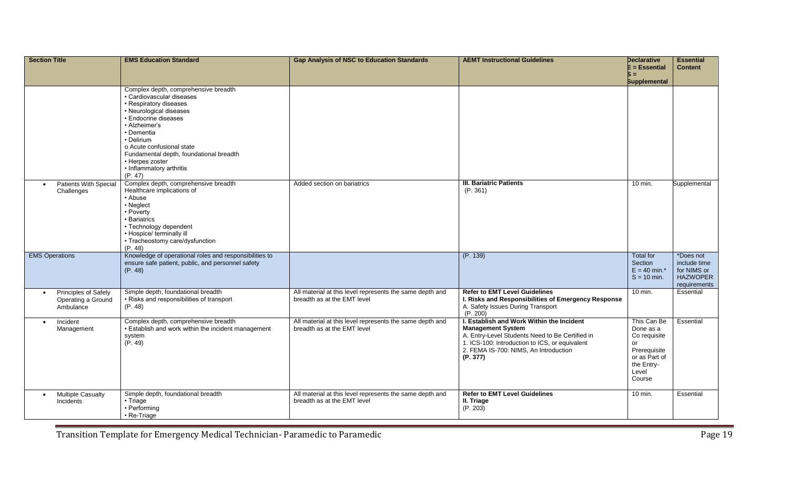| <b>Section Title</b>                                                 | <b>EMS Education Standard</b>                                                                                                                                                                                                                                                                                                 | <b>Gap Analysis of NSC to Education Standards</b>                                       | <b>AEMT Instructional Guidelines</b>                                                                                                                                                                                            | <b>Declarative</b><br>$\mathsf E$ = Essential<br>Б =                                                             | <b>Essential</b><br><b>Content</b>                                          |
|----------------------------------------------------------------------|-------------------------------------------------------------------------------------------------------------------------------------------------------------------------------------------------------------------------------------------------------------------------------------------------------------------------------|-----------------------------------------------------------------------------------------|---------------------------------------------------------------------------------------------------------------------------------------------------------------------------------------------------------------------------------|------------------------------------------------------------------------------------------------------------------|-----------------------------------------------------------------------------|
|                                                                      |                                                                                                                                                                                                                                                                                                                               |                                                                                         |                                                                                                                                                                                                                                 | <b>Supplemental</b>                                                                                              |                                                                             |
|                                                                      | Complex depth, comprehensive breadth<br>· Cardiovascular diseases<br>• Respiratory diseases<br>• Neurological diseases<br>• Endocrine diseases<br>• Alzheimer's<br>• Dementia<br>• Delirium<br>o Acute confusional state<br>Fundamental depth, foundational breadth<br>• Herpes zoster<br>• Inflammatory arthritis<br>(P. 47) |                                                                                         |                                                                                                                                                                                                                                 |                                                                                                                  |                                                                             |
| <b>Patients With Special</b><br>$\bullet$<br>Challenges              | Complex depth, comprehensive breadth<br>Healthcare implications of<br>• Abuse<br>• Neglect<br>• Poverty<br>• Bariatrics<br>• Technology dependent<br>• Hospice/ terminally ill<br>• Tracheostomy care/dysfunction<br>(P. 48)                                                                                                  | Added section on bariatrics                                                             | <b>III. Bariatric Patients</b><br>(P. 361)                                                                                                                                                                                      | 10 min.                                                                                                          | Supplemental                                                                |
| <b>EMS Operations</b>                                                | Knowledge of operational roles and responsibilities to<br>ensure safe patient, public, and personnel safety<br>(P. 48)                                                                                                                                                                                                        |                                                                                         | (P. 139)                                                                                                                                                                                                                        | <b>Total for</b><br>Section<br>$E = 40$ min.*<br>$S = 10$ min.                                                   | *Does not<br>include time<br>for NIMS or<br><b>HAZWOPER</b><br>requirements |
| Principles of Safely<br>$\bullet$<br>Operating a Ground<br>Ambulance | Simple depth, foundational breadth<br>• Risks and responsibilities of transport<br>(P. 48)                                                                                                                                                                                                                                    | All material at this level represents the same depth and<br>breadth as at the EMT level | <b>Refer to EMT Level Guidelines</b><br>I. Risks and Responsibilities of Emergency Response<br>A. Safety Issues During Transport<br>(P. 200)                                                                                    | $10$ min.                                                                                                        | Essential                                                                   |
| Incident<br>$\bullet$<br>Management                                  | Complex depth, comprehensive breadth<br>· Establish and work within the incident management<br>system<br>(P. 49)                                                                                                                                                                                                              | All material at this level represents the same depth and<br>breadth as at the EMT level | I. Establish and Work Within the Incident<br><b>Management System</b><br>A. Entry-Level Students Need to Be Certified in<br>1. ICS-100: Introduction to ICS, or equivalent<br>2. FEMA IS-700: NIMS, An Introduction<br>(P. 377) | This Can Be<br>Done as a<br>Co requisite<br>or<br>Prerequisite<br>or as Part of<br>the Entry-<br>Level<br>Course | Essential                                                                   |
| <b>Multiple Casualty</b><br>$\bullet$<br>Incidents                   | Simple depth, foundational breadth<br>$\cdot$ Triage<br>• Performing<br>• Re-Triage                                                                                                                                                                                                                                           | All material at this level represents the same depth and<br>breadth as at the EMT level | <b>Refer to EMT Level Guidelines</b><br>II. Triage<br>(P. 203)                                                                                                                                                                  | 10 min.                                                                                                          | Essential                                                                   |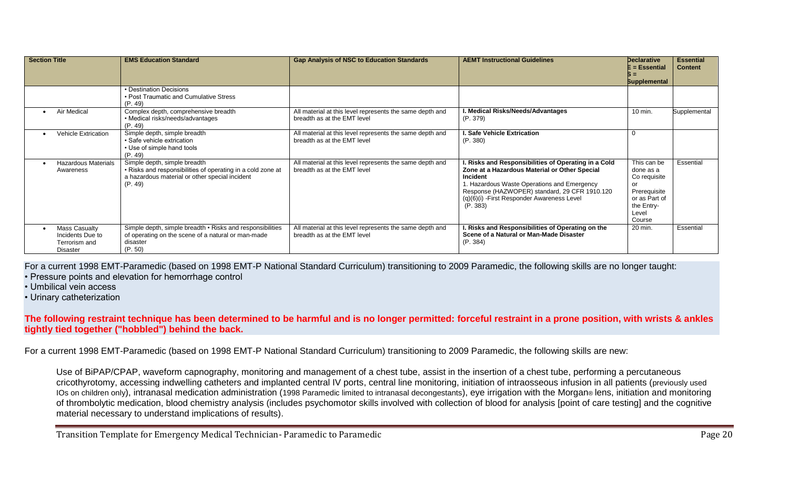| <b>Section Title</b>                                                  | <b>EMS Education Standard</b>                                                                                                                            | <b>Gap Analysis of NSC to Education Standards</b>                                       | <b>AEMT Instructional Guidelines</b>                                                                                                                                                                                                                                        | <b>Declarative</b><br>E = Essential<br><b>Supplemental</b>                                                              | <b>Essential</b><br><b>Content</b> |
|-----------------------------------------------------------------------|----------------------------------------------------------------------------------------------------------------------------------------------------------|-----------------------------------------------------------------------------------------|-----------------------------------------------------------------------------------------------------------------------------------------------------------------------------------------------------------------------------------------------------------------------------|-------------------------------------------------------------------------------------------------------------------------|------------------------------------|
|                                                                       | • Destination Decisions<br>• Post Traumatic and Cumulative Stress<br>(P. 49)                                                                             |                                                                                         |                                                                                                                                                                                                                                                                             |                                                                                                                         |                                    |
| Air Medical                                                           | Complex depth, comprehensive breadth<br>• Medical risks/needs/advantages<br>(P. 49)                                                                      | All material at this level represents the same depth and<br>breadth as at the EMT level | . Medical Risks/Needs/Advantages<br>(P. 379)                                                                                                                                                                                                                                | 10 min.                                                                                                                 | Supplemental                       |
| Vehicle Extrication                                                   | Simple depth, simple breadth<br>• Safe vehicle extrication<br>• Use of simple hand tools<br>(P. 49)                                                      | All material at this level represents the same depth and<br>breadth as at the EMT level | l. Safe Vehicle Extrication<br>(P. 380)                                                                                                                                                                                                                                     | $\Omega$                                                                                                                |                                    |
| <b>Hazardous Materials</b><br>Awareness                               | Simple depth, simple breadth<br>• Risks and responsibilities of operating in a cold zone at<br>a hazardous material or other special incident<br>(P. 49) | All material at this level represents the same depth and<br>breadth as at the EMT level | . Risks and Responsibilities of Operating in a Cold<br>Zone at a Hazardous Material or Other Special<br>Incident<br>1. Hazardous Waste Operations and Emergency<br>Response (HAZWOPER) standard, 29 CFR 1910.120<br>(q)(6)(i) - First Responder Awareness Level<br>(P. 383) | This can be<br>done as a<br>Co requisite<br><b>OI</b><br>Prerequisite<br>or as Part of<br>the Entry-<br>Level<br>Course | Essential                          |
| Mass Casualty<br>Incidents Due to<br>Terrorism and<br><b>Disaster</b> | Simple depth, simple breadth • Risks and responsibilities<br>of operating on the scene of a natural or man-made<br>disaster<br>(P. 50)                   | All material at this level represents the same depth and<br>breadth as at the EMT level | Risks and Responsibilities of Operating on the<br>Scene of a Natural or Man-Made Disaster<br>(P. 384)                                                                                                                                                                       | 20 min.                                                                                                                 | Essential                          |

For a current 1998 EMT-Paramedic (based on 1998 EMT-P National Standard Curriculum) transitioning to 2009 Paramedic, the following skills are no longer taught:

• Pressure points and elevation for hemorrhage control

• Umbilical vein access

• Urinary catheterization

**The following restraint technique has been determined to be harmful and is no longer permitted: forceful restraint in a prone position, with wrists & ankles tightly tied together ("hobbled") behind the back.**

For a current 1998 EMT-Paramedic (based on 1998 EMT-P National Standard Curriculum) transitioning to 2009 Paramedic, the following skills are new:

Use of BiPAP/CPAP, waveform capnography, monitoring and management of a chest tube, assist in the insertion of a chest tube, performing a percutaneous cricothyrotomy, accessing indwelling catheters and implanted central IV ports, central line monitoring, initiation of intraosseous infusion in all patients (previously used IOs on children only), intranasal medication administration (1998 Paramedic limited to intranasal decongestants), eye irrigation with the Morgan® lens, initiation and monitoring of thrombolytic medication, blood chemistry analysis (includes psychomotor skills involved with collection of blood for analysis [point of care testing] and the cognitive material necessary to understand implications of results).